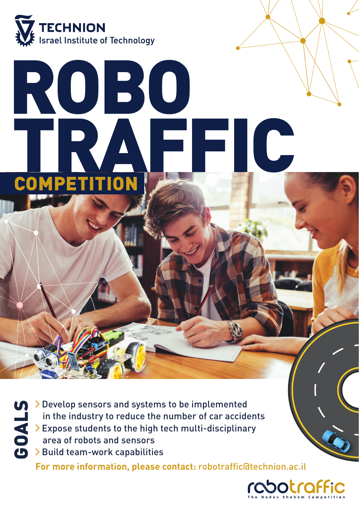

# ROBO TRAFFIC **COMPETITION**

**GOALS DEVELOP SERVIS SERVIS DEVELOP SERVIS DEVELOP SERVIS DEVELOP SERVIS DEVELOP SERVIS DEVELOP SERVIS DEVELOP SERVIS DEVELOP SERVIS DEVELOP SERVIS DEVELOP SERVIS DEVELOP SERVIS DEVELOP SERVIS DEVELOP SERVIS DEVELOP SERVI** in the industry to reduce the number of car accidents Expose students to the high tech multi-disciplinary area of robots and sensors > Build team-work capabilities

**For more information, please contact:** robotraffic@technion.ac.il

botraffic